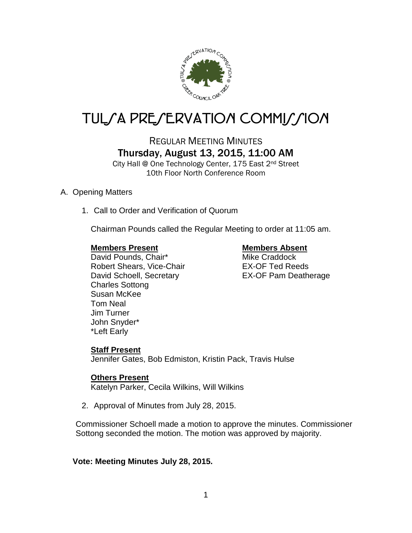

# TUL*SA PRESERVATION COMMISSION*

## REGULAR MEETING MINUTES Thursday, August 13, 2015, 11:00 AM

City Hall @ One Technology Center, 175 East 2nd Street 10th Floor North Conference Room

### A. Opening Matters

1. Call to Order and Verification of Quorum

Chairman Pounds called the Regular Meeting to order at 11:05 am.

### **Members Present Members Absent**

David Pounds, Chair\* Mike Craddock Robert Shears, Vice-Chair **EX-OF Ted Reeds** David Schoell, Secretary EX-OF Pam Deatherage Charles Sottong Susan McKee Tom Neal Jim Turner John Snyder\* \*Left Early

### **Staff Present**

Jennifer Gates, Bob Edmiston, Kristin Pack, Travis Hulse

### **Others Present**

Katelyn Parker, Cecila Wilkins, Will Wilkins

2. Approval of Minutes from July 28, 2015.

Commissioner Schoell made a motion to approve the minutes. Commissioner Sottong seconded the motion. The motion was approved by majority.

### **Vote: Meeting Minutes July 28, 2015.**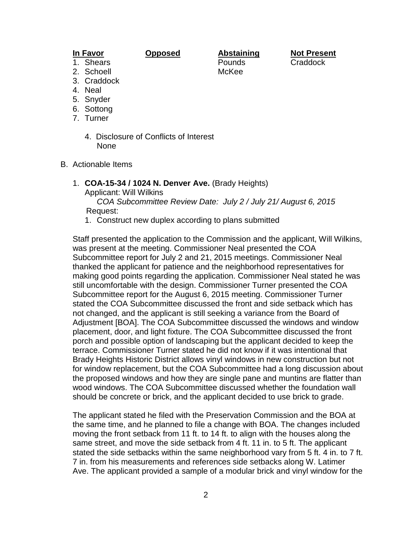1. Shears Pounds Craddock

**In Favor Opposed Abstaining Not Present**

- 2. Schoell McKee
- 3. Craddock
- 4. Neal
- 5. Snyder
- 6. Sottong
- 7. Turner
	- 4. Disclosure of Conflicts of Interest None
- B. Actionable Items
	- 1. **COA-15-34 / 1024 N. Denver Ave.** (Brady Heights)

Applicant: Will Wilkins

 *COA Subcommittee Review Date: July 2 / July 21/ August 6, 2015* Request:

1. Construct new duplex according to plans submitted

Staff presented the application to the Commission and the applicant, Will Wilkins, was present at the meeting. Commissioner Neal presented the COA Subcommittee report for July 2 and 21, 2015 meetings. Commissioner Neal thanked the applicant for patience and the neighborhood representatives for making good points regarding the application. Commissioner Neal stated he was still uncomfortable with the design. Commissioner Turner presented the COA Subcommittee report for the August 6, 2015 meeting. Commissioner Turner stated the COA Subcommittee discussed the front and side setback which has not changed, and the applicant is still seeking a variance from the Board of Adjustment [BOA]. The COA Subcommittee discussed the windows and window placement, door, and light fixture. The COA Subcommittee discussed the front porch and possible option of landscaping but the applicant decided to keep the terrace. Commissioner Turner stated he did not know if it was intentional that Brady Heights Historic District allows vinyl windows in new construction but not for window replacement, but the COA Subcommittee had a long discussion about the proposed windows and how they are single pane and muntins are flatter than wood windows. The COA Subcommittee discussed whether the foundation wall should be concrete or brick, and the applicant decided to use brick to grade.

The applicant stated he filed with the Preservation Commission and the BOA at the same time, and he planned to file a change with BOA. The changes included moving the front setback from 11 ft. to 14 ft. to align with the houses along the same street, and move the side setback from 4 ft. 11 in. to 5 ft. The applicant stated the side setbacks within the same neighborhood vary from 5 ft. 4 in. to 7 ft. 7 in. from his measurements and references side setbacks along W. Latimer Ave. The applicant provided a sample of a modular brick and vinyl window for the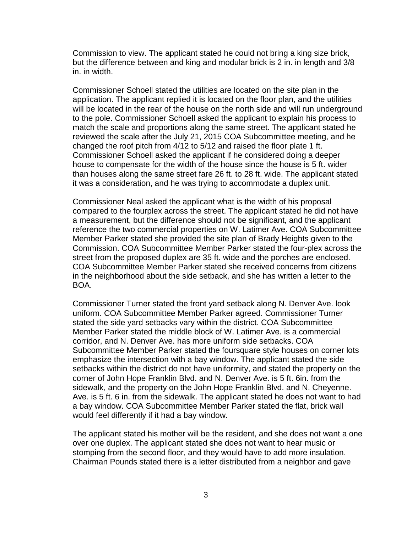Commission to view. The applicant stated he could not bring a king size brick, but the difference between and king and modular brick is 2 in. in length and 3/8 in. in width.

Commissioner Schoell stated the utilities are located on the site plan in the application. The applicant replied it is located on the floor plan, and the utilities will be located in the rear of the house on the north side and will run underground to the pole. Commissioner Schoell asked the applicant to explain his process to match the scale and proportions along the same street. The applicant stated he reviewed the scale after the July 21, 2015 COA Subcommittee meeting, and he changed the roof pitch from 4/12 to 5/12 and raised the floor plate 1 ft. Commissioner Schoell asked the applicant if he considered doing a deeper house to compensate for the width of the house since the house is 5 ft. wider than houses along the same street fare 26 ft. to 28 ft. wide. The applicant stated it was a consideration, and he was trying to accommodate a duplex unit.

Commissioner Neal asked the applicant what is the width of his proposal compared to the fourplex across the street. The applicant stated he did not have a measurement, but the difference should not be significant, and the applicant reference the two commercial properties on W. Latimer Ave. COA Subcommittee Member Parker stated she provided the site plan of Brady Heights given to the Commission. COA Subcommittee Member Parker stated the four-plex across the street from the proposed duplex are 35 ft. wide and the porches are enclosed. COA Subcommittee Member Parker stated she received concerns from citizens in the neighborhood about the side setback, and she has written a letter to the BOA.

Commissioner Turner stated the front yard setback along N. Denver Ave. look uniform. COA Subcommittee Member Parker agreed. Commissioner Turner stated the side yard setbacks vary within the district. COA Subcommittee Member Parker stated the middle block of W. Latimer Ave. is a commercial corridor, and N. Denver Ave. has more uniform side setbacks. COA Subcommittee Member Parker stated the foursquare style houses on corner lots emphasize the intersection with a bay window. The applicant stated the side setbacks within the district do not have uniformity, and stated the property on the corner of John Hope Franklin Blvd. and N. Denver Ave. is 5 ft. 6in. from the sidewalk, and the property on the John Hope Franklin Blvd. and N. Cheyenne. Ave. is 5 ft. 6 in. from the sidewalk. The applicant stated he does not want to had a bay window. COA Subcommittee Member Parker stated the flat, brick wall would feel differently if it had a bay window.

The applicant stated his mother will be the resident, and she does not want a one over one duplex. The applicant stated she does not want to hear music or stomping from the second floor, and they would have to add more insulation. Chairman Pounds stated there is a letter distributed from a neighbor and gave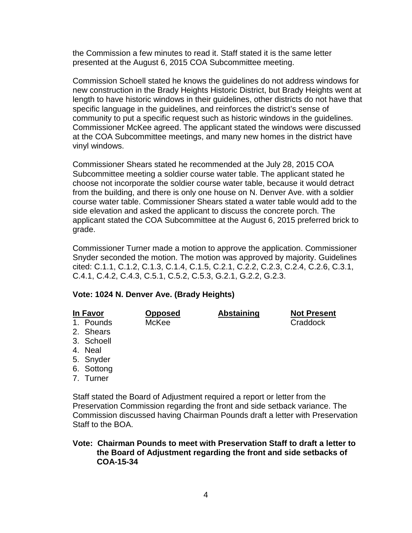the Commission a few minutes to read it. Staff stated it is the same letter presented at the August 6, 2015 COA Subcommittee meeting.

Commission Schoell stated he knows the guidelines do not address windows for new construction in the Brady Heights Historic District, but Brady Heights went at length to have historic windows in their guidelines, other districts do not have that specific language in the guidelines, and reinforces the district's sense of community to put a specific request such as historic windows in the guidelines. Commissioner McKee agreed. The applicant stated the windows were discussed at the COA Subcommittee meetings, and many new homes in the district have vinyl windows.

Commissioner Shears stated he recommended at the July 28, 2015 COA Subcommittee meeting a soldier course water table. The applicant stated he choose not incorporate the soldier course water table, because it would detract from the building, and there is only one house on N. Denver Ave. with a soldier course water table. Commissioner Shears stated a water table would add to the side elevation and asked the applicant to discuss the concrete porch. The applicant stated the COA Subcommittee at the August 6, 2015 preferred brick to grade.

Commissioner Turner made a motion to approve the application. Commissioner Snyder seconded the motion. The motion was approved by majority. Guidelines cited: C.1.1, C.1.2, C.1.3, C.1.4, C.1.5, C.2.1, C.2.2, C.2.3, C.2.4, C.2.6, C.3.1, C.4.1, C.4.2, C.4.3, C.5.1, C.5.2, C.5.3, G.2.1, G.2.2, G.2.3.

#### **Vote: 1024 N. Denver Ave. (Brady Heights)**

| In Favor   | <b>Opposed</b> | <b>Abstaining</b> | <b>Not Present</b> |
|------------|----------------|-------------------|--------------------|
| 1. Pounds  | McKee          |                   | Craddock           |
| 2. Shears  |                |                   |                    |
| 3. Schoell |                |                   |                    |
| 4. Neal    |                |                   |                    |
| 5. Snyder  |                |                   |                    |
| 6. Sottong |                |                   |                    |
| 7. Turner  |                |                   |                    |

Staff stated the Board of Adjustment required a report or letter from the Preservation Commission regarding the front and side setback variance. The Commission discussed having Chairman Pounds draft a letter with Preservation Staff to the BOA.

#### **Vote: Chairman Pounds to meet with Preservation Staff to draft a letter to the Board of Adjustment regarding the front and side setbacks of COA-15-34**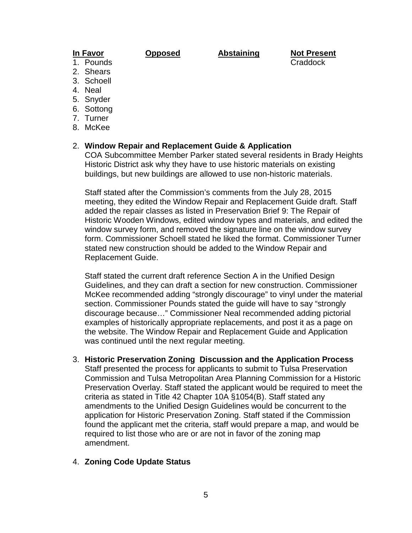**In Favor Opposed Abstaining Not Present** 1. Pounds Craddock

- 
- 2. Shears
- 3. Schoell 4. Neal
- 
- 5. Snyder
- 6. Sottong
- 7. Turner
- 8. McKee

### 2. **Window Repair and Replacement Guide & Application**

COA Subcommittee Member Parker stated several residents in Brady Heights Historic District ask why they have to use historic materials on existing buildings, but new buildings are allowed to use non-historic materials.

Staff stated after the Commission's comments from the July 28, 2015 meeting, they edited the Window Repair and Replacement Guide draft. Staff added the repair classes as listed in Preservation Brief 9: The Repair of Historic Wooden Windows, edited window types and materials, and edited the window survey form, and removed the signature line on the window survey form. Commissioner Schoell stated he liked the format. Commissioner Turner stated new construction should be added to the Window Repair and Replacement Guide.

Staff stated the current draft reference Section A in the Unified Design Guidelines, and they can draft a section for new construction. Commissioner McKee recommended adding "strongly discourage" to vinyl under the material section. Commissioner Pounds stated the guide will have to say "strongly discourage because…" Commissioner Neal recommended adding pictorial examples of historically appropriate replacements, and post it as a page on the website. The Window Repair and Replacement Guide and Application was continued until the next regular meeting.

3. **Historic Preservation Zoning Discussion and the Application Process** Staff presented the process for applicants to submit to Tulsa Preservation Commission and Tulsa Metropolitan Area Planning Commission for a Historic Preservation Overlay. Staff stated the applicant would be required to meet the criteria as stated in Title 42 Chapter 10A §1054(B). Staff stated any amendments to the Unified Design Guidelines would be concurrent to the application for Historic Preservation Zoning. Staff stated if the Commission found the applicant met the criteria, staff would prepare a map, and would be required to list those who are or are not in favor of the zoning map amendment.

### 4. **Zoning Code Update Status**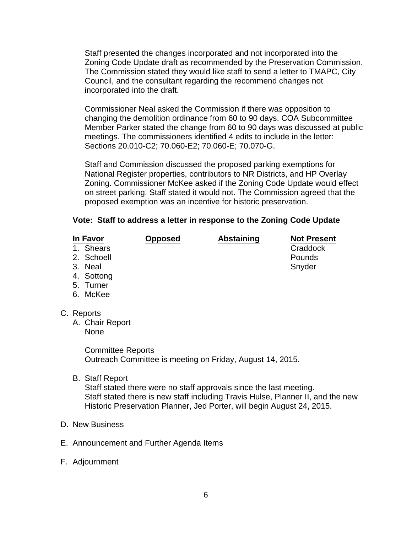Staff presented the changes incorporated and not incorporated into the Zoning Code Update draft as recommended by the Preservation Commission. The Commission stated they would like staff to send a letter to TMAPC, City Council, and the consultant regarding the recommend changes not incorporated into the draft.

Commissioner Neal asked the Commission if there was opposition to changing the demolition ordinance from 60 to 90 days. COA Subcommittee Member Parker stated the change from 60 to 90 days was discussed at public meetings. The commissioners identified 4 edits to include in the letter: Sections 20.010-C2; 70.060-E2; 70.060-E; 70.070-G.

Staff and Commission discussed the proposed parking exemptions for National Register properties, contributors to NR Districts, and HP Overlay Zoning. Commissioner McKee asked if the Zoning Code Update would effect on street parking. Staff stated it would not. The Commission agreed that the proposed exemption was an incentive for historic preservation.

### **Vote: Staff to address a letter in response to the Zoning Code Update**

**In Favor Opposed Abstaining Not Present**

- 1. Shears 2. Schoell **Pounds**
- 3. Neal Snyder
- 
- 4. Sottong
- 5. Turner
- 6. McKee
- C. Reports
	- A. Chair Report
		- None

Committee Reports Outreach Committee is meeting on Friday, August 14, 2015.

B. Staff Report

Staff stated there were no staff approvals since the last meeting. Staff stated there is new staff including Travis Hulse, Planner II, and the new Historic Preservation Planner, Jed Porter, will begin August 24, 2015.

- D. New Business
- E. Announcement and Further Agenda Items
- F. Adjournment